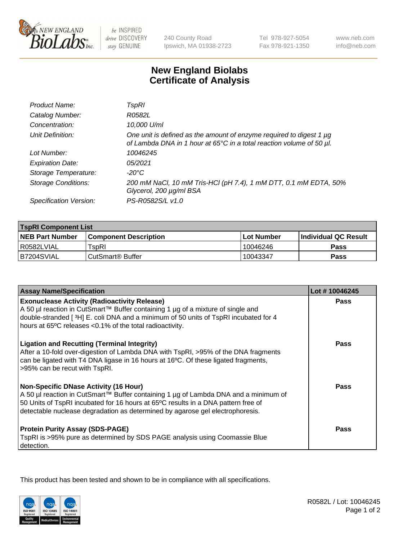

be INSPIRED drive DISCOVERY stay GENUINE

240 County Road Ipswich, MA 01938-2723 Tel 978-927-5054 Fax 978-921-1350

www.neb.com info@neb.com

## **New England Biolabs Certificate of Analysis**

| Product Name:              | TspRI                                                                                                                                       |
|----------------------------|---------------------------------------------------------------------------------------------------------------------------------------------|
| Catalog Number:            | R0582L                                                                                                                                      |
| Concentration:             | 10,000 U/ml                                                                                                                                 |
| Unit Definition:           | One unit is defined as the amount of enzyme required to digest 1 µg<br>of Lambda DNA in 1 hour at 65°C in a total reaction volume of 50 µl. |
| Lot Number:                | 10046245                                                                                                                                    |
| <b>Expiration Date:</b>    | 05/2021                                                                                                                                     |
| Storage Temperature:       | -20°C                                                                                                                                       |
| <b>Storage Conditions:</b> | 200 mM NaCl, 10 mM Tris-HCl (pH 7.4), 1 mM DTT, 0.1 mM EDTA, 50%<br>Glycerol, 200 µg/ml BSA                                                 |
| Specification Version:     | PS-R0582S/L v1.0                                                                                                                            |

| <b>TspRI Component List</b> |                              |                   |                             |  |
|-----------------------------|------------------------------|-------------------|-----------------------------|--|
| <b>NEB Part Number</b>      | <b>Component Description</b> | <b>Lot Number</b> | <b>Individual QC Result</b> |  |
| R0582LVIAL                  | TspRI                        | 10046246          | <b>Pass</b>                 |  |
| IB7204SVIAL                 | ' CutSmart® Buffer_          | 10043347          | Pass                        |  |

| <b>Assay Name/Specification</b>                                                                                                                                                                                                                                                                           | Lot #10046245 |
|-----------------------------------------------------------------------------------------------------------------------------------------------------------------------------------------------------------------------------------------------------------------------------------------------------------|---------------|
| <b>Exonuclease Activity (Radioactivity Release)</b><br>A 50 µl reaction in CutSmart™ Buffer containing 1 µg of a mixture of single and                                                                                                                                                                    | Pass          |
| double-stranded [3H] E. coli DNA and a minimum of 50 units of TspRI incubated for 4<br>hours at 65°C releases <0.1% of the total radioactivity.                                                                                                                                                           |               |
| <b>Ligation and Recutting (Terminal Integrity)</b><br>After a 10-fold over-digestion of Lambda DNA with TspRI, >95% of the DNA fragments<br>can be ligated with T4 DNA ligase in 16 hours at 16°C. Of these ligated fragments,<br>>95% can be recut with TspRI.                                           | <b>Pass</b>   |
| <b>Non-Specific DNase Activity (16 Hour)</b><br>A 50 µl reaction in CutSmart™ Buffer containing 1 µg of Lambda DNA and a minimum of<br>50 Units of TspRI incubated for 16 hours at 65°C results in a DNA pattern free of<br>detectable nuclease degradation as determined by agarose gel electrophoresis. | <b>Pass</b>   |
| <b>Protein Purity Assay (SDS-PAGE)</b><br>TspRI is >95% pure as determined by SDS PAGE analysis using Coomassie Blue<br>detection.                                                                                                                                                                        | Pass          |

This product has been tested and shown to be in compliance with all specifications.